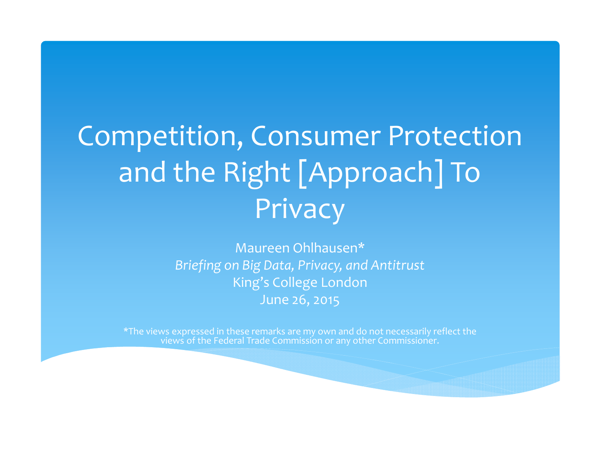# Competition, Consumer Protection and the Right [Approach] To Privacy

Maureen Ohlhausen\* *Briefing on Big Data, Privacy, and Antitrust* King's College London June 26, 2015

\*The views expressed in these remarks are my own and do not necessarily reflect the views of the Federal Trade Commission or any other Commissioner.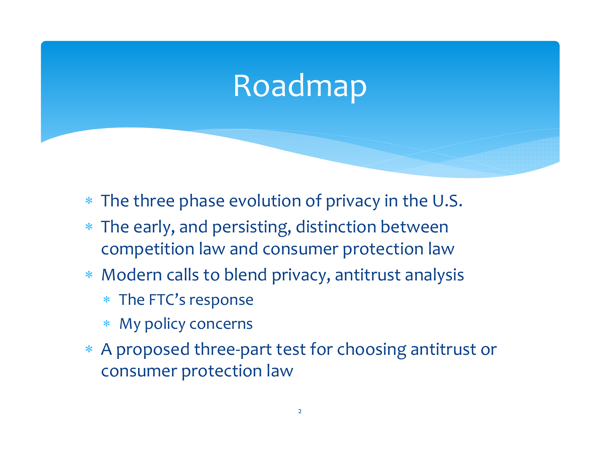## Roadmap

- The three phase evolution of privacy in the U.S.
- The early, and persisting, distinction between competition law and consumer protection law
- Modern calls to blend privacy, antitrust analysis
	- The FTC's response
	- My policy concerns
- A proposed three‐par<sup>t</sup> test for choosing antitrust or consumer protection law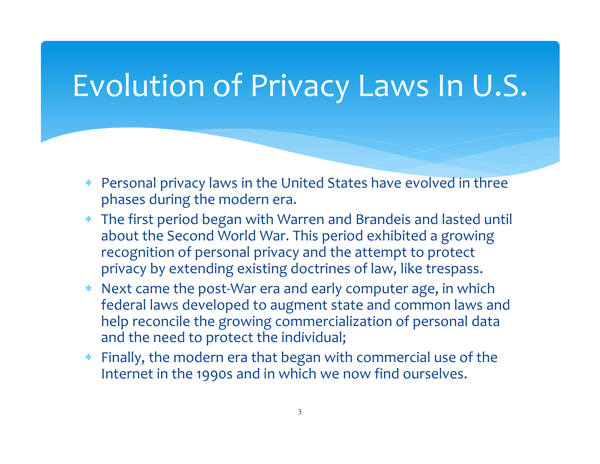### Evolution of Privacy Laws In U.S.

- Personal privacy laws in the United States have evolved in three phases during the modern era.
- The first period began with Warren and Brandeis and lasted until about the Second World War. This period exhibited <sup>a</sup> growing recognition of personal privacy and the attempt to protect privacy by extending existing doctrines of law, like trespass.
- Next came the post‐War era and early computer age, in which federal laws developed to augment state and common laws and help reconcile the growing commercialization of personal data and the need to protect the individual;
- Finally, the modern era that began with commercial use of the Internet in the 1990s and in which we now find ourselves.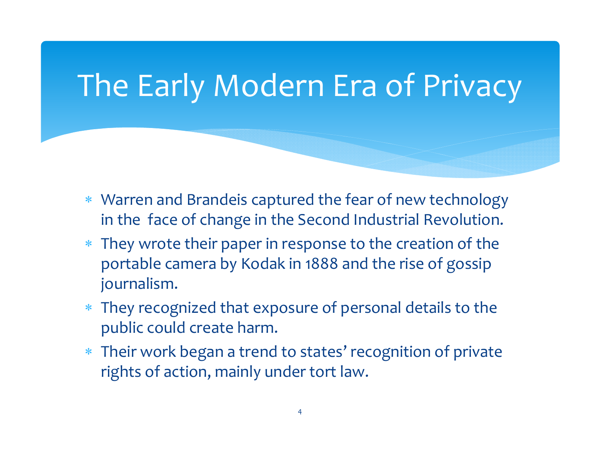### The Early Modern Era of Privacy

- Warren and Brandeis captured the fear of new technology in the face of change in the Second Industrial Revolution.
- They wrote their paper in response to the creation of the portable camera by Kodak in 1888 and the rise of gossip journalism.
- They recognized that exposure of personal details to the public could create harm.
- Their work began <sup>a</sup> trend to states' recognition of private rights of action, mainly under tort law.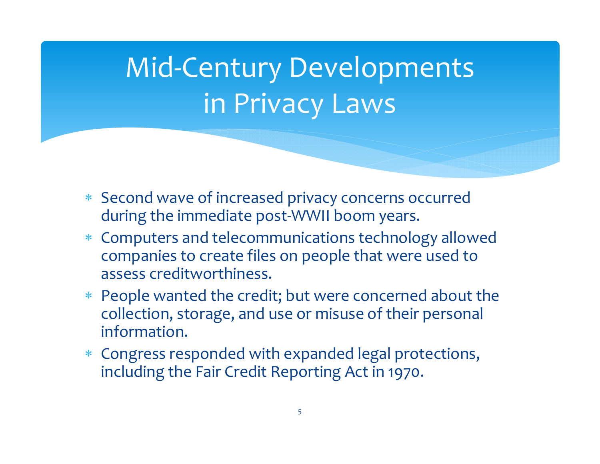# Mid‐Century Developments in Privacy Laws

- Second wave of increased privacy concerns occurred during the immediate post‐WWII boom years.
- Computers and telecommunications technology allowed companies to create files on people that were used to assess creditworthiness.
- People wanted the credit; but were concerned about the collection, storage, and use or misuse of their personal information.
- Congress responded with expanded legal protections, including the Fair Credit Reporting Act in 1970.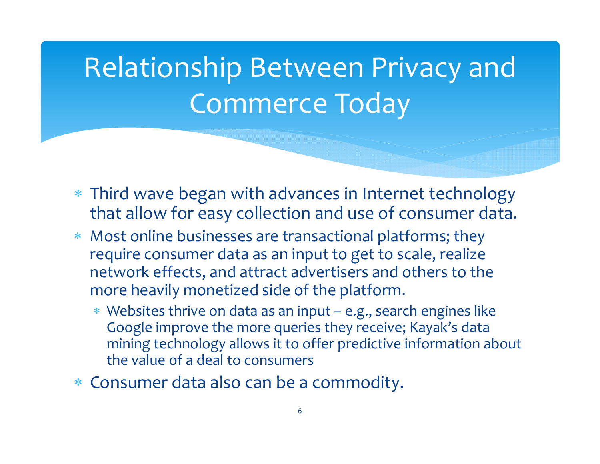# Relationship Between Privacy and Commerce Today

- Third wave began with advances in Internet technology that allow for easy collection and use of consumer data.
- Most online businesses are transactional platforms; they require consumer data as an input to get to scale, realize network effects, and attract advertisers and others to the more heavily monetized side of the platform.
	- Websites thrive on data as an input e.g., search engines like Google improve the more queries they receive; Kayak's data mining technology allows it to offer predictive information about the value of <sup>a</sup> deal to consumers
- Consumer data also can be <sup>a</sup> commodity.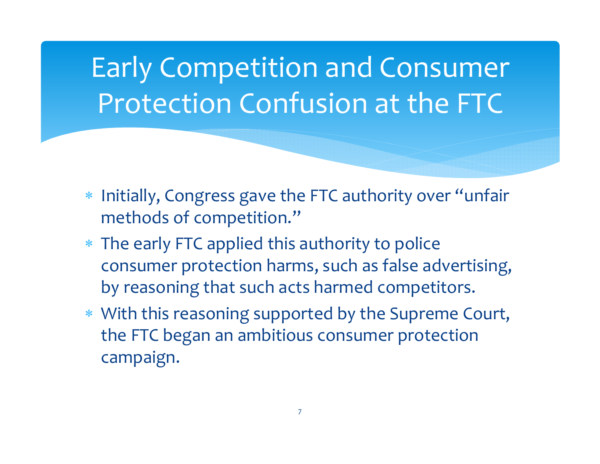## Early Competition and Consumer Protection Confusion at the FTC

- $\ast$  Initially, Congress gave the FTC authority over "unfair methods of competition."
- The early FTC applied this authority to police consumer protection harms, such as false advertising, by reasoning that such acts harmed competitors.
- With this reasoning supported by the Supreme Court, the FTC began an ambitious consumer protection campaign.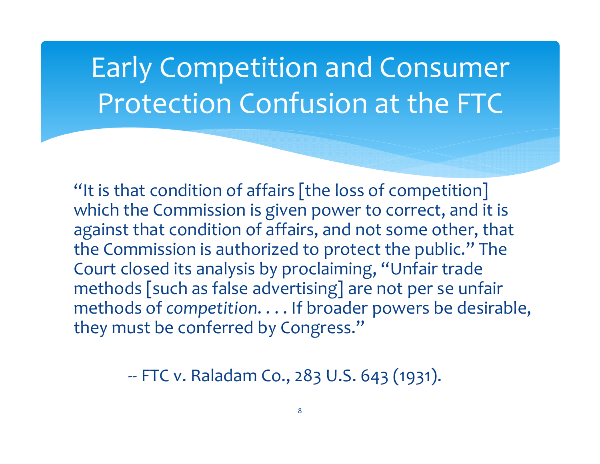## Early Competition and Consumer Protection Confusion at the FTC

"It is that condition of affairs [the loss of competition]  $\,$ which the Commission is given power to correct, and it is against that condition of affairs, and not some other, that the Commission is authorized to protect the public." The Court closed its analysis by proclaiming, "Unfair trade methods [such as false advertising] are not per se unfair methods of *competition*. . . . If broader powers be desirable, they must be conferred by Congress."

‐‐ FTC v. Raladam Co., 283 U.S. 643 (1931).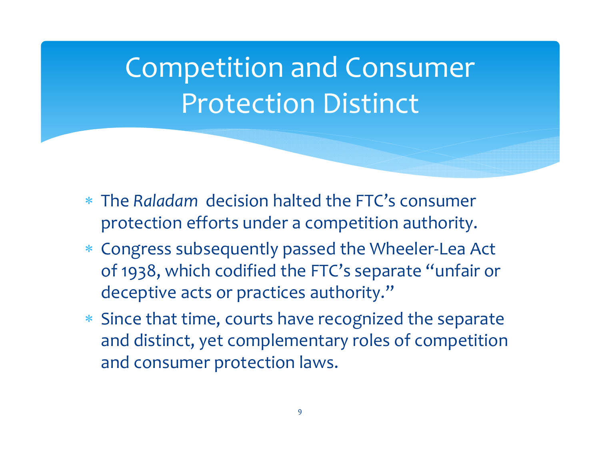## Competition and Consumer Protection Distinct

- The *Raladam* decision halted the FTC's consumer protection efforts under <sup>a</sup> competition authority.
- Congress subsequently passed the Wheeler‐Lea Act of 1938, which codified the FTC's separate "unfair or deceptive acts or practices authority."
- Since that time, courts have recognized the separate and distinct, yet complementary roles of competition and consumer protection laws.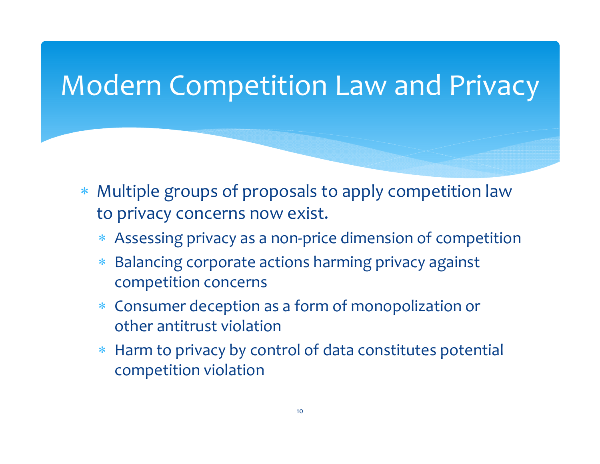#### Modern Competition Law and Privacy

- Multiple groups of proposals to apply competition law to privacy concerns now exist.
	- Assessing privacy as <sup>a</sup> non‐price dimension of competition
	- $\ast$  Balancing corporate actions harming privacy against competition concerns
	- ∗ Consumer deception as <sup>a</sup> form of monopolization or other antitrust violation
	- ∗ Harm to privacy by control of data constitutes potential competition violation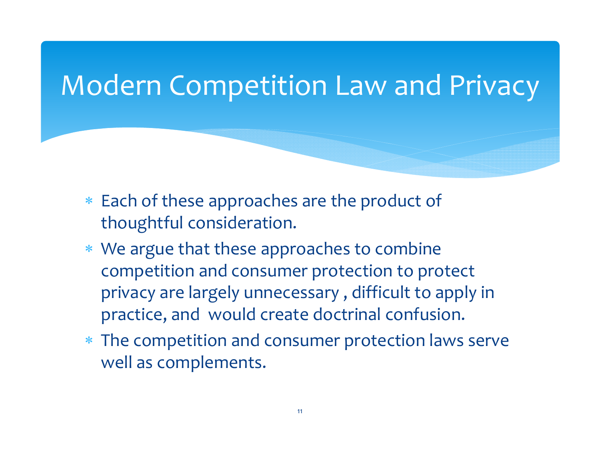#### Modern Competition Law and Privacy

- $\ast$  Each of these approaches are the product of thoughtful consideration.
- We argue that these approaches to combine competition and consumer protection to protect privacy are largely unnecessary , difficult to apply in practice, and would create doctrinal confusion.
- The competition and consumer protection laws serve well as complements.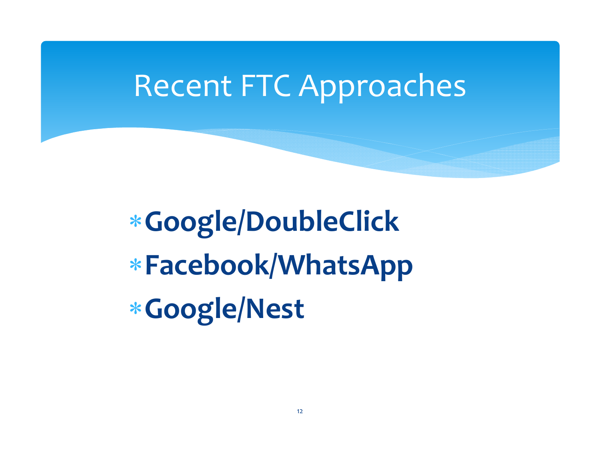### Recent FTC Approaches

**Google/DoubleClick Facebook/WhatsApp Google/Nest**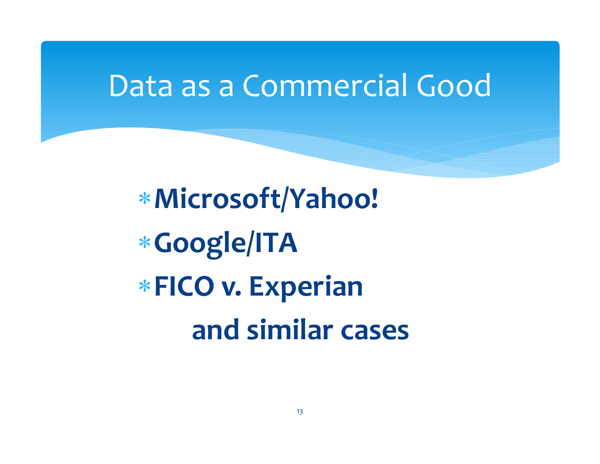#### Data as <sup>a</sup> Commercial Good

**Microsoft/Yahoo! Google/ITA FICO v. Experian and similar cases**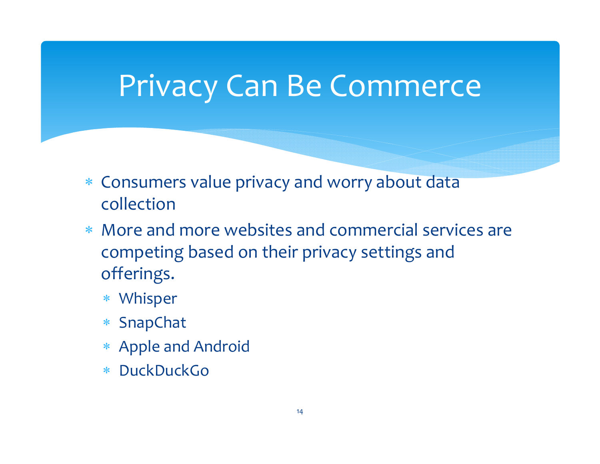### Privacy Can Be Commerce

- Consumers value privacy and worry about data collection
- More and more websites and commercial services are competing based on their privacy settings and offerings.
	- Whisper
	- SnapChat
	- Apple and Android
	- $\ast$ DuckDuckGo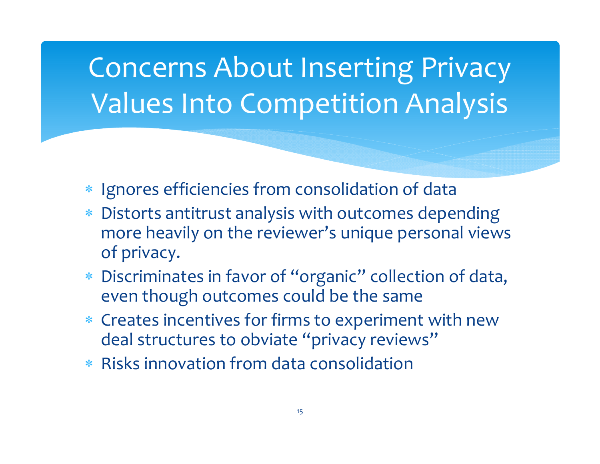## Concerns About Inserting Privacy Values Into Competition Analysis

- \* Ignores efficiencies from consolidation of data
- Distorts antitrust analysis with outcomes depending more heavily on the reviewer's unique personal views of privacy.
- Discriminates in favor of "organic" collection of data, even though outcomes could be the same
- Creates incentives for firms to experiment with new deal structures to obviate "privacy reviews"
- Risks innovation from data consolidation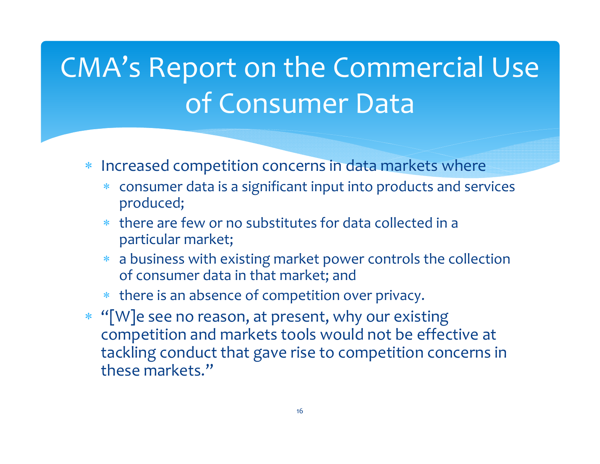# CMA's Report on the Commercial Use of Consumer Data

- \* Increased competition concerns in data markets where
	- consumer data is <sup>a</sup> significant input into products and services produced;
	- there are few or no substitutes for data collected in <sup>a</sup> particular market;
	- <sup>a</sup> business with existing market power controls the collection of consumer data in that market; and
	- there is an absence of competition over privacy.
- \* "[W]e see no reason, at present, why our existing competition and markets tools would not be effective at tackling conduct that gave rise to competition concerns in these markets."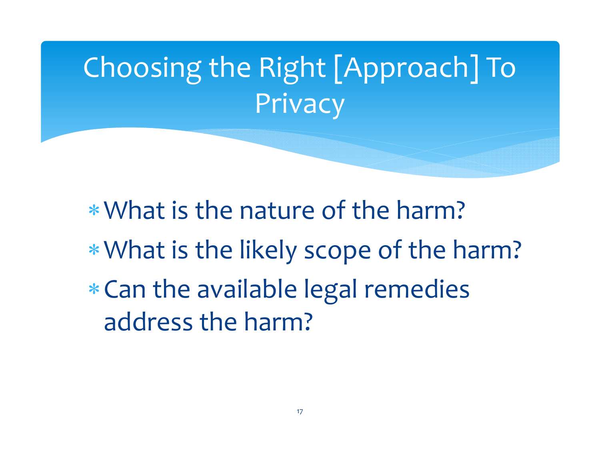# Choosing the Right [Approach] To Privacy

What is the nature of the harm? What is the likely scope of the harm?  $\ast$  Can the available legal remedies address the harm?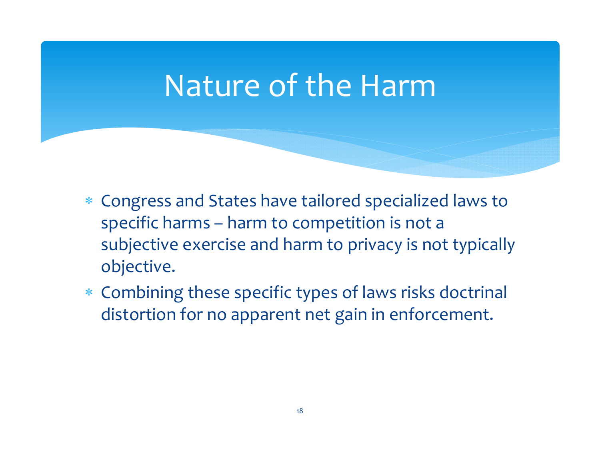### Nature of the Harm

- Congress and States have tailored specialized laws to specific harms – harm to competition is not <sup>a</sup> subjective exercise and harm to privacy is not typically objective.
- Combining these specific types of laws risks doctrinal distortion for no apparen<sup>t</sup> net gain in enforcement.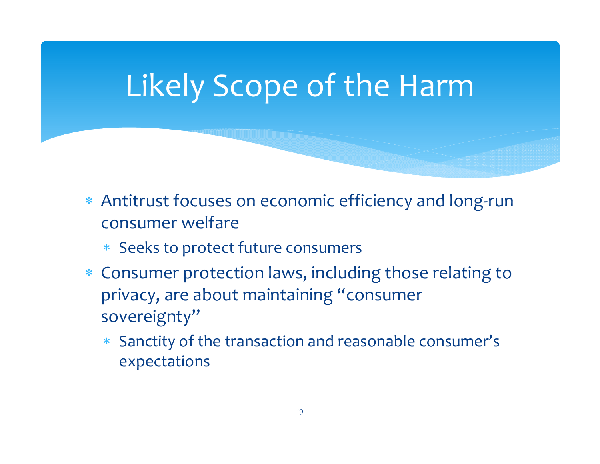## Likely Scope of the Harm

- Antitrust focuses on economic efficiency and long‐run consumer welfare
	- Seeks to protect future consumers
- Consumer protection laws, including those relating to privacy, are about maintaining "consumer sovereignty"
	- Sanctity of the transaction and reasonable consumer's expectations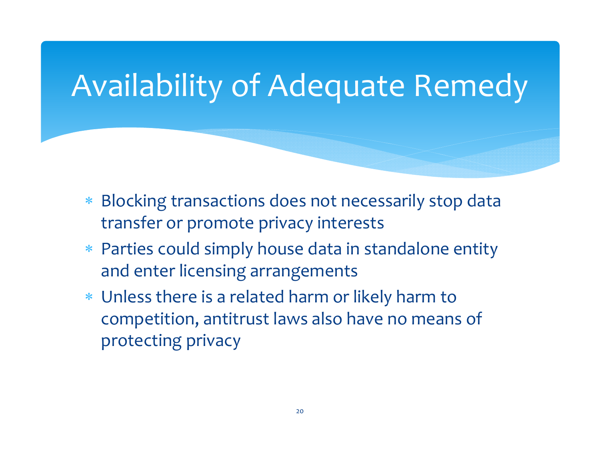### Availability of Adequate Remedy

- $\ast$  Blocking transactions does not necessarily stop data transfer or promote privacy interests
- Parties could simply house data in standalone entity and enter licensing arrangements
- Unless there is <sup>a</sup> related harm or likely harm to competition, antitrust laws also have no means of protecting privacy